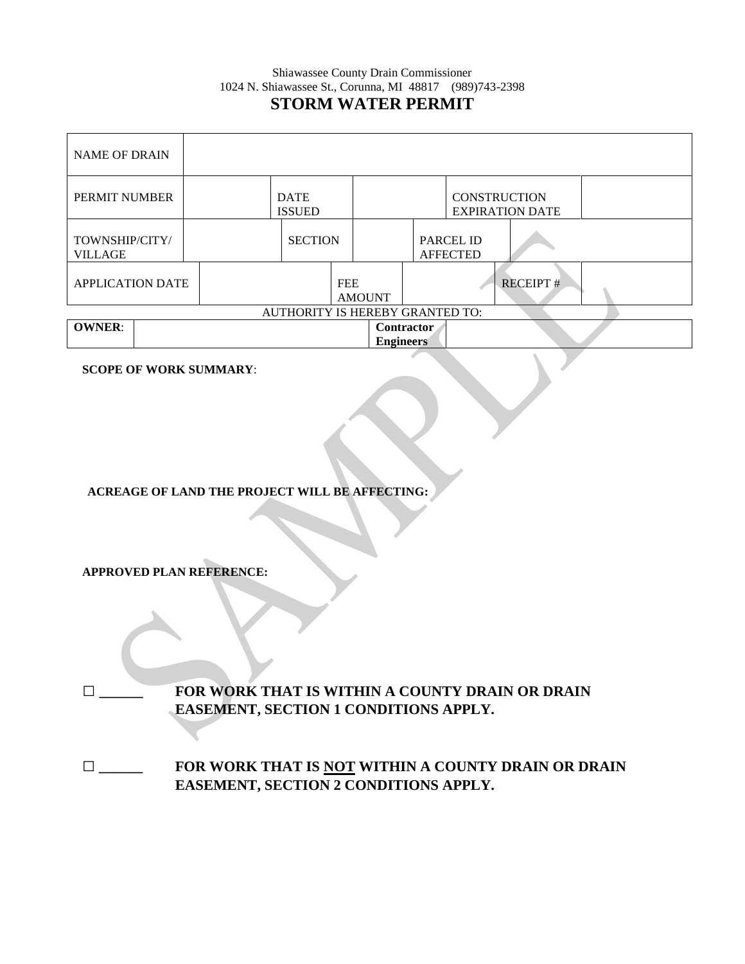### Shiawassee County Drain Commissioner 1024 N. Shiawassee St., Corunna, MI 48817 (989)743-2398 **STORM WATER PERMIT**

| <b>NAME OF DRAIN</b>             |  |                              |                |                             |                  |                                               |                                     |                 |  |
|----------------------------------|--|------------------------------|----------------|-----------------------------|------------------|-----------------------------------------------|-------------------------------------|-----------------|--|
| PERMIT NUMBER                    |  | <b>DATE</b><br><b>ISSUED</b> |                |                             |                  | <b>CONSTRUCTION</b><br><b>EXPIRATION DATE</b> |                                     |                 |  |
| TOWNSHIP/CITY/<br><b>VILLAGE</b> |  |                              | <b>SECTION</b> |                             |                  |                                               | <b>PARCEL ID</b><br><b>AFFECTED</b> |                 |  |
| <b>APPLICATION DATE</b>          |  |                              |                | <b>FEE</b><br><b>AMOUNT</b> |                  |                                               |                                     | <b>RECEIPT#</b> |  |
| AUTHORITY IS HEREBY GRANTED TO:  |  |                              |                |                             |                  |                                               |                                     |                 |  |
| <b>OWNER:</b>                    |  |                              |                |                             | <b>Engineers</b> | <b>Contractor</b>                             |                                     |                 |  |

**SCOPE OF WORK SUMMARY**:

**ACREAGE OF LAND THE PROJECT WILL BE AFFECTING:**

**APPROVED PLAN REFERENCE:**

**□ \_\_\_\_\_\_ FOR WORK THAT IS WITHIN A COUNTY DRAIN OR DRAIN EASEMENT, SECTION 1 CONDITIONS APPLY.** 

**□ \_\_\_\_\_\_ FOR WORK THAT IS NOT WITHIN A COUNTY DRAIN OR DRAIN EASEMENT, SECTION 2 CONDITIONS APPLY.**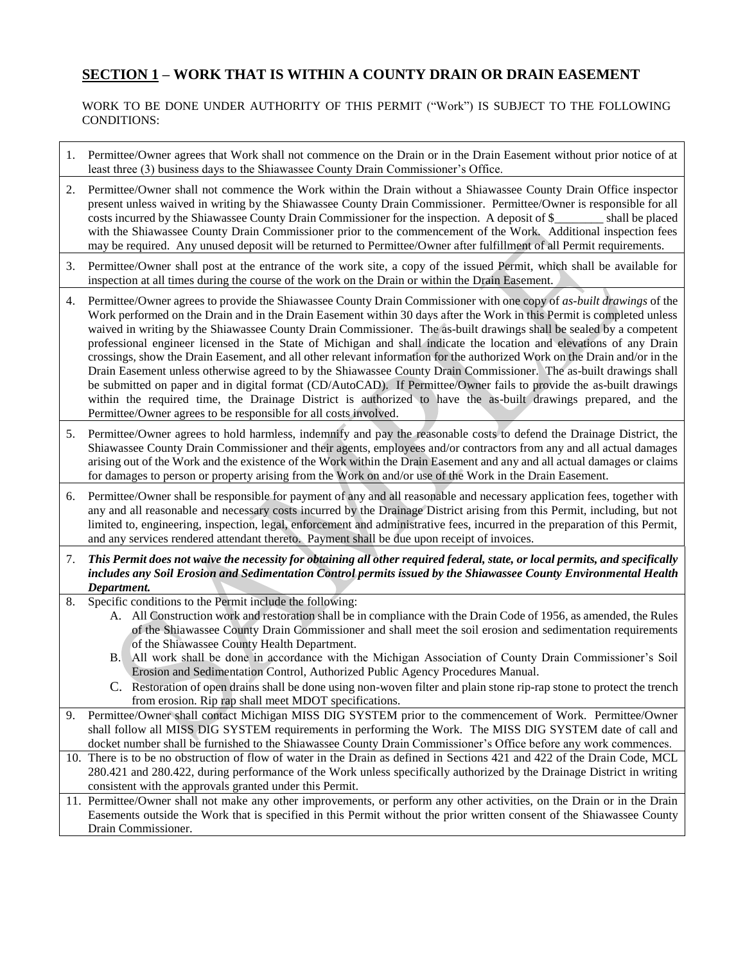# **SECTION 1 – WORK THAT IS WITHIN A COUNTY DRAIN OR DRAIN EASEMENT**

#### WORK TO BE DONE UNDER AUTHORITY OF THIS PERMIT ("Work") IS SUBJECT TO THE FOLLOWING CONDITIONS:

- 1. Permittee/Owner agrees that Work shall not commence on the Drain or in the Drain Easement without prior notice of at least three (3) business days to the Shiawassee County Drain Commissioner's Office.
- 2. Permittee/Owner shall not commence the Work within the Drain without a Shiawassee County Drain Office inspector present unless waived in writing by the Shiawassee County Drain Commissioner. Permittee/Owner is responsible for all costs incurred by the Shiawassee County Drain Commissioner for the inspection. A deposit of \$ shall be placed with the Shiawassee County Drain Commissioner prior to the commencement of the Work. Additional inspection fees may be required. Any unused deposit will be returned to Permittee/Owner after fulfillment of all Permit requirements.
- 3. Permittee/Owner shall post at the entrance of the work site, a copy of the issued Permit, which shall be available for inspection at all times during the course of the work on the Drain or within the Drain Easement.
- 4. Permittee/Owner agrees to provide the Shiawassee County Drain Commissioner with one copy of *as-built drawings* of the Work performed on the Drain and in the Drain Easement within 30 days after the Work in this Permit is completed unless waived in writing by the Shiawassee County Drain Commissioner. The as-built drawings shall be sealed by a competent professional engineer licensed in the State of Michigan and shall indicate the location and elevations of any Drain crossings, show the Drain Easement, and all other relevant information for the authorized Work on the Drain and/or in the Drain Easement unless otherwise agreed to by the Shiawassee County Drain Commissioner. The as-built drawings shall be submitted on paper and in digital format (CD/AutoCAD). If Permittee/Owner fails to provide the as-built drawings within the required time, the Drainage District is authorized to have the as-built drawings prepared, and the Permittee/Owner agrees to be responsible for all costs involved.
- 5. Permittee/Owner agrees to hold harmless, indemnify and pay the reasonable costs to defend the Drainage District, the Shiawassee County Drain Commissioner and their agents, employees and/or contractors from any and all actual damages arising out of the Work and the existence of the Work within the Drain Easement and any and all actual damages or claims for damages to person or property arising from the Work on and/or use of the Work in the Drain Easement.
- 6. Permittee/Owner shall be responsible for payment of any and all reasonable and necessary application fees, together with any and all reasonable and necessary costs incurred by the Drainage District arising from this Permit, including, but not limited to, engineering, inspection, legal, enforcement and administrative fees, incurred in the preparation of this Permit, and any services rendered attendant thereto. Payment shall be due upon receipt of invoices.
- 7. *This Permit does not waive the necessity for obtaining all other required federal, state, or local permits, and specifically includes any Soil Erosion and Sedimentation Control permits issued by the Shiawassee County Environmental Health Department.*
- 8. Specific conditions to the Permit include the following:
	- A. All Construction work and restoration shall be in compliance with the Drain Code of 1956, as amended, the Rules of the Shiawassee County Drain Commissioner and shall meet the soil erosion and sedimentation requirements of the Shiawassee County Health Department.
	- B. All work shall be done in accordance with the Michigan Association of County Drain Commissioner's Soil Erosion and Sedimentation Control, Authorized Public Agency Procedures Manual.
	- C. Restoration of open drains shall be done using non-woven filter and plain stone rip-rap stone to protect the trench from erosion. Rip rap shall meet MDOT specifications.
- 9. Permittee/Owner shall contact Michigan MISS DIG SYSTEM prior to the commencement of Work. Permittee/Owner shall follow all MISS DIG SYSTEM requirements in performing the Work. The MISS DIG SYSTEM date of call and docket number shall be furnished to the Shiawassee County Drain Commissioner's Office before any work commences.
- 10. There is to be no obstruction of flow of water in the Drain as defined in Sections 421 and 422 of the Drain Code, MCL 280.421 and 280.422, during performance of the Work unless specifically authorized by the Drainage District in writing consistent with the approvals granted under this Permit.
- 11. Permittee/Owner shall not make any other improvements, or perform any other activities, on the Drain or in the Drain Easements outside the Work that is specified in this Permit without the prior written consent of the Shiawassee County Drain Commissioner.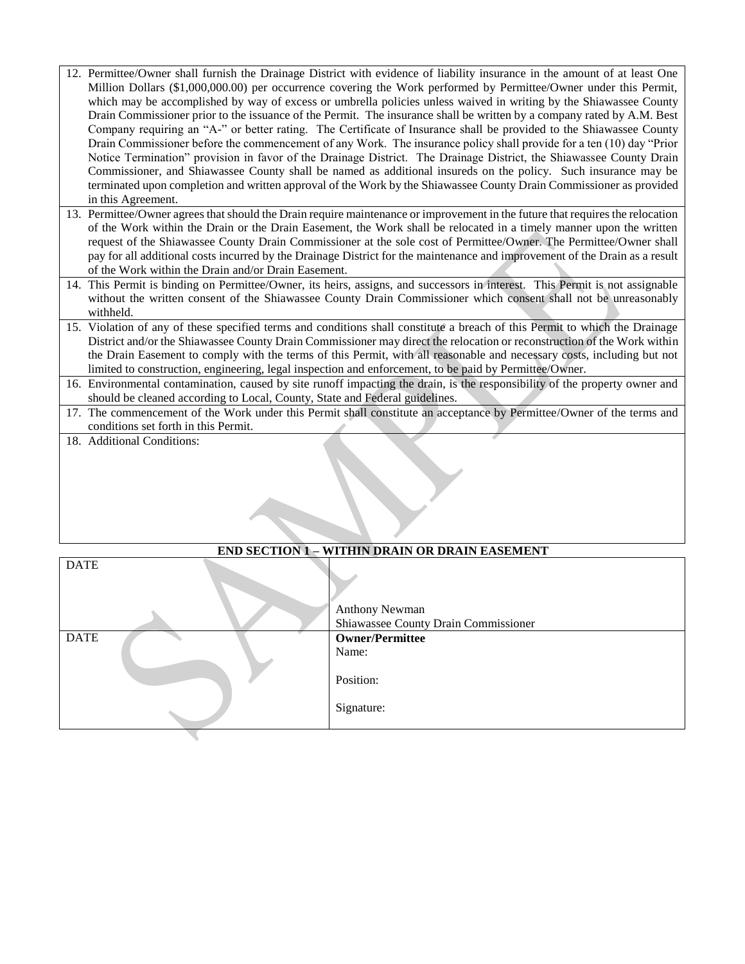- 12. Permittee/Owner shall furnish the Drainage District with evidence of liability insurance in the amount of at least One Million Dollars (\$1,000,000.00) per occurrence covering the Work performed by Permittee/Owner under this Permit, which may be accomplished by way of excess or umbrella policies unless waived in writing by the Shiawassee County Drain Commissioner prior to the issuance of the Permit. The insurance shall be written by a company rated by A.M. Best Company requiring an "A-" or better rating. The Certificate of Insurance shall be provided to the Shiawassee County Drain Commissioner before the commencement of any Work. The insurance policy shall provide for a ten (10) day "Prior Notice Termination" provision in favor of the Drainage District. The Drainage District, the Shiawassee County Drain Commissioner, and Shiawassee County shall be named as additional insureds on the policy. Such insurance may be terminated upon completion and written approval of the Work by the Shiawassee County Drain Commissioner as provided in this Agreement.
- 13. Permittee/Owner agrees that should the Drain require maintenance or improvement in the future that requires the relocation of the Work within the Drain or the Drain Easement, the Work shall be relocated in a timely manner upon the written request of the Shiawassee County Drain Commissioner at the sole cost of Permittee/Owner. The Permittee/Owner shall pay for all additional costs incurred by the Drainage District for the maintenance and improvement of the Drain as a result of the Work within the Drain and/or Drain Easement.
- 14. This Permit is binding on Permittee/Owner, its heirs, assigns, and successors in interest. This Permit is not assignable without the written consent of the Shiawassee County Drain Commissioner which consent shall not be unreasonably withheld.
- 15. Violation of any of these specified terms and conditions shall constitute a breach of this Permit to which the Drainage District and/or the Shiawassee County Drain Commissioner may direct the relocation or reconstruction of the Work within the Drain Easement to comply with the terms of this Permit, with all reasonable and necessary costs, including but not limited to construction, engineering, legal inspection and enforcement, to be paid by Permittee/Owner.
- 16. Environmental contamination, caused by site runoff impacting the drain, is the responsibility of the property owner and should be cleaned according to Local, County, State and Federal guidelines.
- 17. The commencement of the Work under this Permit shall constitute an acceptance by Permittee/Owner of the terms and conditions set forth in this Permit.
- 18. Additional Conditions:

| <b>END SECTION 1 - WITHIN DRAIN OR DRAIN EASEMENT</b> |  |                                      |  |  |
|-------------------------------------------------------|--|--------------------------------------|--|--|
| <b>DATE</b>                                           |  | <b>Anthony Newman</b>                |  |  |
|                                                       |  | Shiawassee County Drain Commissioner |  |  |
| <b>DATE</b>                                           |  | <b>Owner/Permittee</b>               |  |  |
|                                                       |  | Name:                                |  |  |
|                                                       |  | Position:                            |  |  |
|                                                       |  | Signature:                           |  |  |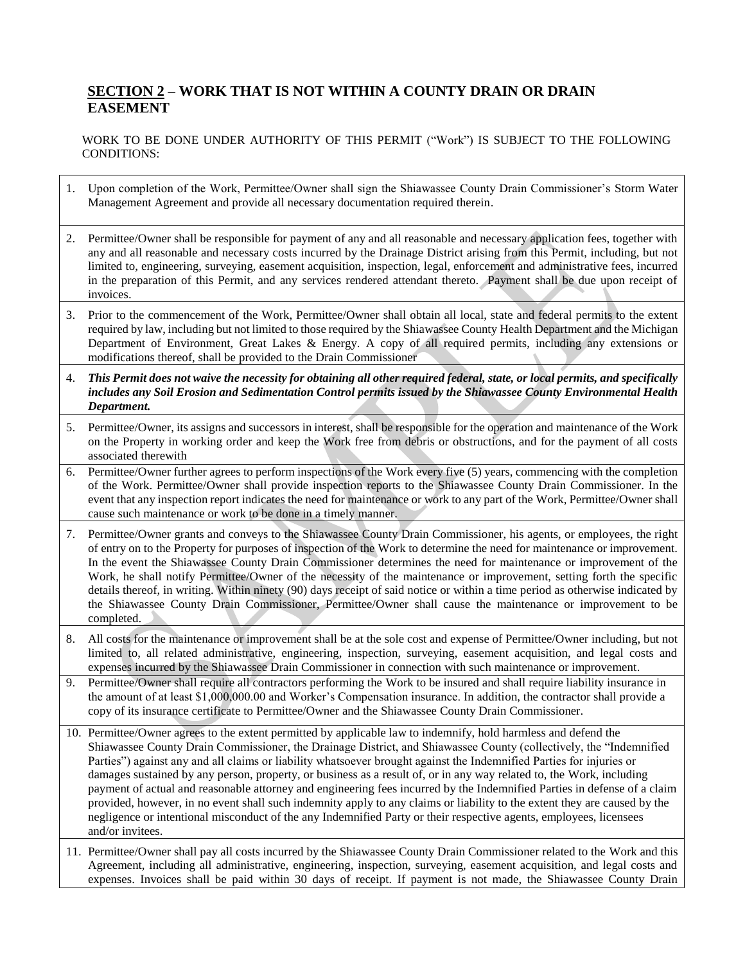## **SECTION 2 – WORK THAT IS NOT WITHIN A COUNTY DRAIN OR DRAIN EASEMENT**

WORK TO BE DONE UNDER AUTHORITY OF THIS PERMIT ("Work") IS SUBJECT TO THE FOLLOWING CONDITIONS:

- 1. Upon completion of the Work, Permittee/Owner shall sign the Shiawassee County Drain Commissioner's Storm Water Management Agreement and provide all necessary documentation required therein.
- 2. Permittee/Owner shall be responsible for payment of any and all reasonable and necessary application fees, together with any and all reasonable and necessary costs incurred by the Drainage District arising from this Permit, including, but not limited to, engineering, surveying, easement acquisition, inspection, legal, enforcement and administrative fees, incurred in the preparation of this Permit, and any services rendered attendant thereto. Payment shall be due upon receipt of invoices.
- 3. Prior to the commencement of the Work, Permittee/Owner shall obtain all local, state and federal permits to the extent required by law, including but not limited to those required by the Shiawassee County Health Department and the Michigan Department of Environment, Great Lakes & Energy. A copy of all required permits, including any extensions or modifications thereof, shall be provided to the Drain Commissioner
- 4. *This Permit does not waive the necessity for obtaining all other required federal, state, or local permits, and specifically includes any Soil Erosion and Sedimentation Control permits issued by the Shiawassee County Environmental Health Department.*
- 5. Permittee/Owner, its assigns and successors in interest, shall be responsible for the operation and maintenance of the Work on the Property in working order and keep the Work free from debris or obstructions, and for the payment of all costs associated therewith
- 6. Permittee/Owner further agrees to perform inspections of the Work every five (5) years, commencing with the completion of the Work. Permittee/Owner shall provide inspection reports to the Shiawassee County Drain Commissioner. In the event that any inspection report indicates the need for maintenance or work to any part of the Work, Permittee/Owner shall cause such maintenance or work to be done in a timely manner.
- 7. Permittee/Owner grants and conveys to the Shiawassee County Drain Commissioner, his agents, or employees, the right of entry on to the Property for purposes of inspection of the Work to determine the need for maintenance or improvement. In the event the Shiawassee County Drain Commissioner determines the need for maintenance or improvement of the Work, he shall notify Permittee/Owner of the necessity of the maintenance or improvement, setting forth the specific details thereof, in writing. Within ninety (90) days receipt of said notice or within a time period as otherwise indicated by the Shiawassee County Drain Commissioner, Permittee/Owner shall cause the maintenance or improvement to be completed.
- 8. All costs for the maintenance or improvement shall be at the sole cost and expense of Permittee/Owner including, but not limited to, all related administrative, engineering, inspection, surveying, easement acquisition, and legal costs and expenses incurred by the Shiawassee Drain Commissioner in connection with such maintenance or improvement.
- 9. Permittee/Owner shall require all contractors performing the Work to be insured and shall require liability insurance in the amount of at least \$1,000,000.00 and Worker's Compensation insurance. In addition, the contractor shall provide a copy of its insurance certificate to Permittee/Owner and the Shiawassee County Drain Commissioner.
- 10. Permittee/Owner agrees to the extent permitted by applicable law to indemnify, hold harmless and defend the Shiawassee County Drain Commissioner, the Drainage District, and Shiawassee County (collectively, the "Indemnified Parties") against any and all claims or liability whatsoever brought against the Indemnified Parties for injuries or damages sustained by any person, property, or business as a result of, or in any way related to, the Work, including payment of actual and reasonable attorney and engineering fees incurred by the Indemnified Parties in defense of a claim provided, however, in no event shall such indemnity apply to any claims or liability to the extent they are caused by the negligence or intentional misconduct of the any Indemnified Party or their respective agents, employees, licensees and/or invitees.
- 11. Permittee/Owner shall pay all costs incurred by the Shiawassee County Drain Commissioner related to the Work and this Agreement, including all administrative, engineering, inspection, surveying, easement acquisition, and legal costs and expenses. Invoices shall be paid within 30 days of receipt. If payment is not made, the Shiawassee County Drain